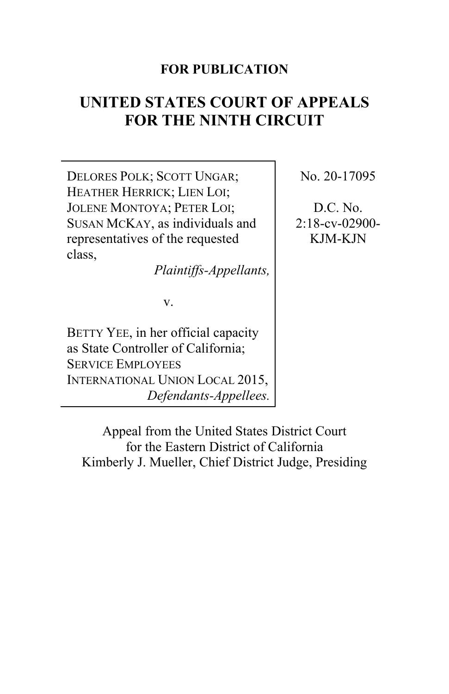# **FOR PUBLICATION**

# **UNITED STATES COURT OF APPEALS FOR THE NINTH CIRCUIT**

DELORES POLK; SCOTT UNGAR; HEATHER HERRICK; LIEN LOI; JOLENE MONTOYA; PETER LOI; SUSAN MCKAY, as individuals and representatives of the requested class,

*Plaintiffs-Appellants,*

v.

BETTY YEE, in her official capacity as State Controller of California; SERVICE EMPLOYEES INTERNATIONAL UNION LOCAL 2015, *Defendants-Appellees.* No. 20-17095

D.C. No. 2:18-cv-02900- KJM-KJN

Appeal from the United States District Court for the Eastern District of California Kimberly J. Mueller, Chief District Judge, Presiding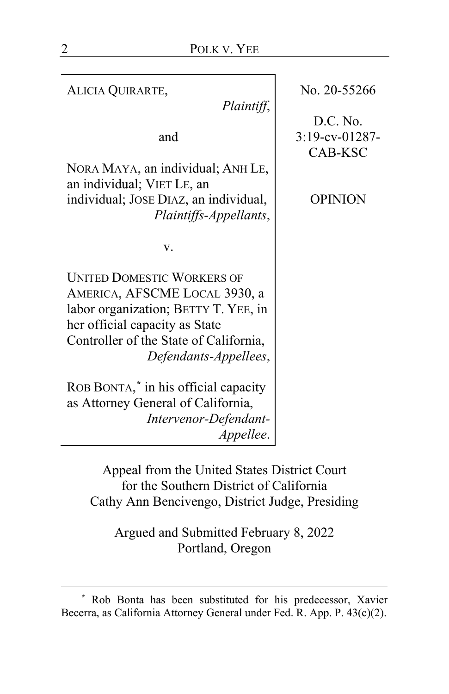| ALICIA QUIRARTE,<br>Plaintiff,                                                                                                                                                                                  | No. 20-55266                          |
|-----------------------------------------------------------------------------------------------------------------------------------------------------------------------------------------------------------------|---------------------------------------|
| and                                                                                                                                                                                                             | D.C. No.<br>3:19-cv-01287-<br>CAB-KSC |
| NORA MAYA, an individual; ANH LE,<br>an individual; VIET LE, an<br>individual; JOSE DIAZ, an individual,                                                                                                        | <b>OPINION</b>                        |
| Plaintiffs-Appellants,<br>v.                                                                                                                                                                                    |                                       |
| <b>UNITED DOMESTIC WORKERS OF</b><br>AMERICA, AFSCME LOCAL 3930, a<br>labor organization; BETTY T. YEE, in<br>her official capacity as State<br>Controller of the State of California,<br>Defendants-Appellees, |                                       |
| ROB BONTA," in his official capacity<br>as Attorney General of California,<br>Intervenor-Defendant-<br><i>Appellee.</i>                                                                                         |                                       |

Appeal from the United States District Court for the Southern District of California Cathy Ann Bencivengo, District Judge, Presiding

Argued and Submitted February 8, 2022 Portland, Oregon

<span id="page-1-0"></span>**<sup>\*</sup>** Rob Bonta has been substituted for his predecessor, Xavier Becerra, as California Attorney General under Fed. R. App. P. 43(c)(2).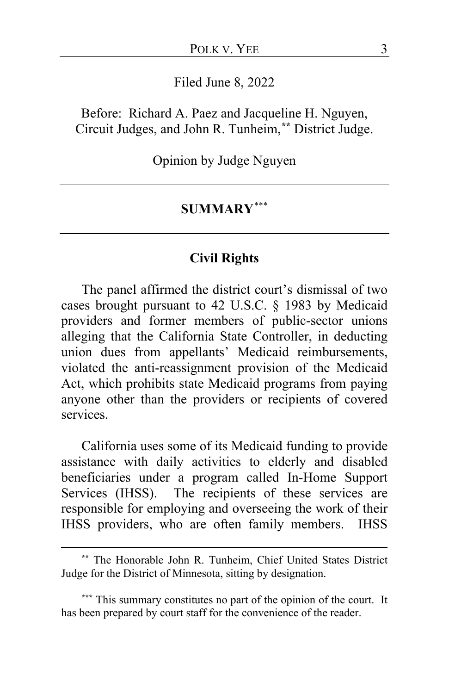Filed June 8, 2022

Before: Richard A. Paez and Jacqueline H. Nguyen, Circuit Judges, and John R. Tunheim,**[\\*\\*](#page-2-0)** District Judge.

Opinion by Judge Nguyen

# **SUMMARY**[\\*\\*\\*](#page-2-1)

## **Civil Rights**

The panel affirmed the district court's dismissal of two cases brought pursuant to 42 U.S.C. § 1983 by Medicaid providers and former members of public-sector unions alleging that the California State Controller, in deducting union dues from appellants' Medicaid reimbursements, violated the anti-reassignment provision of the Medicaid Act, which prohibits state Medicaid programs from paying anyone other than the providers or recipients of covered services.

California uses some of its Medicaid funding to provide assistance with daily activities to elderly and disabled beneficiaries under a program called In-Home Support Services (IHSS). The recipients of these services are responsible for employing and overseeing the work of their IHSS providers, who are often family members. IHSS

<span id="page-2-0"></span>**<sup>\*\*</sup>** The Honorable John R. Tunheim, Chief United States District Judge for the District of Minnesota, sitting by designation.

<span id="page-2-1"></span>**<sup>\*\*\*</sup>** This summary constitutes no part of the opinion of the court. It has been prepared by court staff for the convenience of the reader.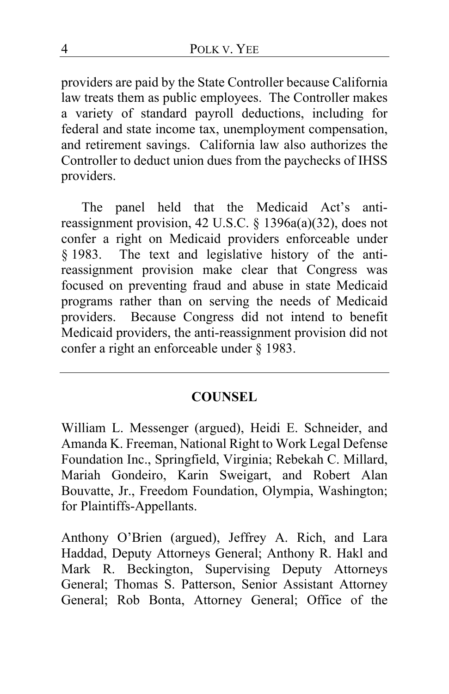providers are paid by the State Controller because California law treats them as public employees. The Controller makes a variety of standard payroll deductions, including for federal and state income tax, unemployment compensation, and retirement savings. California law also authorizes the Controller to deduct union dues from the paychecks of IHSS providers.

The panel held that the Medicaid Act's antireassignment provision, 42 U.S.C. § 1396a(a)(32), does not confer a right on Medicaid providers enforceable under § 1983. The text and legislative history of the antireassignment provision make clear that Congress was focused on preventing fraud and abuse in state Medicaid programs rather than on serving the needs of Medicaid providers. Because Congress did not intend to benefit Medicaid providers, the anti-reassignment provision did not confer a right an enforceable under § 1983.

# **COUNSEL**

William L. Messenger (argued), Heidi E. Schneider, and Amanda K. Freeman, National Right to Work Legal Defense Foundation Inc., Springfield, Virginia; Rebekah C. Millard, Mariah Gondeiro, Karin Sweigart, and Robert Alan Bouvatte, Jr., Freedom Foundation, Olympia, Washington; for Plaintiffs-Appellants.

Anthony O'Brien (argued), Jeffrey A. Rich, and Lara Haddad, Deputy Attorneys General; Anthony R. Hakl and Mark R. Beckington, Supervising Deputy Attorneys General; Thomas S. Patterson, Senior Assistant Attorney General; Rob Bonta, Attorney General; Office of the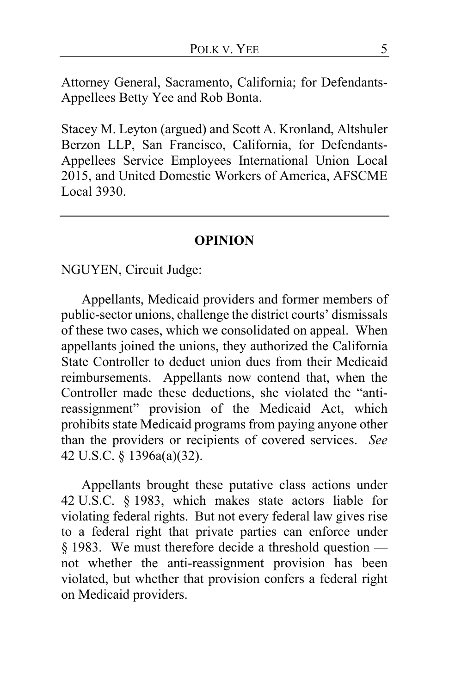Attorney General, Sacramento, California; for Defendants-Appellees Betty Yee and Rob Bonta.

Stacey M. Leyton (argued) and Scott A. Kronland, Altshuler Berzon LLP, San Francisco, California, for Defendants-Appellees Service Employees International Union Local 2015, and United Domestic Workers of America, AFSCME Local 3930.

#### **OPINION**

NGUYEN, Circuit Judge:

Appellants, Medicaid providers and former members of public-sector unions, challenge the district courts' dismissals of these two cases, which we consolidated on appeal. When appellants joined the unions, they authorized the California State Controller to deduct union dues from their Medicaid reimbursements. Appellants now contend that, when the Controller made these deductions, she violated the "antireassignment" provision of the Medicaid Act, which prohibits state Medicaid programs from paying anyone other than the providers or recipients of covered services. *See*  42 U.S.C. § 1396a(a)(32).

Appellants brought these putative class actions under 42 U.S.C. § 1983, which makes state actors liable for violating federal rights. But not every federal law gives rise to a federal right that private parties can enforce under § 1983. We must therefore decide a threshold question not whether the anti-reassignment provision has been violated, but whether that provision confers a federal right on Medicaid providers.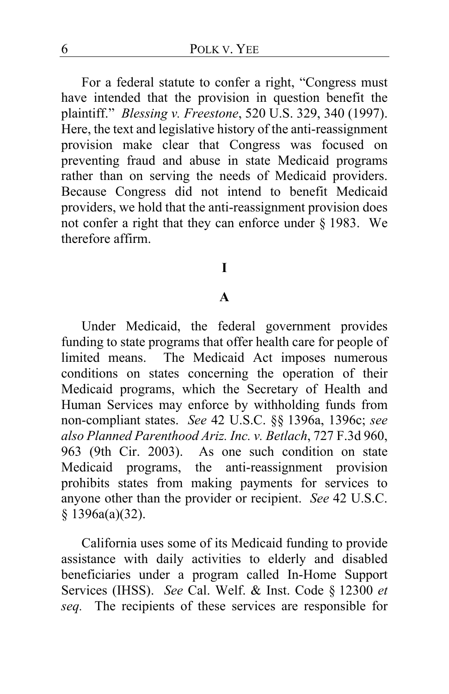For a federal statute to confer a right, "Congress must have intended that the provision in question benefit the plaintiff." *Blessing v. Freestone*, 520 U.S. 329, 340 (1997). Here, the text and legislative history of the anti-reassignment provision make clear that Congress was focused on preventing fraud and abuse in state Medicaid programs rather than on serving the needs of Medicaid providers. Because Congress did not intend to benefit Medicaid providers, we hold that the anti-reassignment provision does not confer a right that they can enforce under § 1983. We therefore affirm.

## **I**

#### **A**

Under Medicaid, the federal government provides funding to state programs that offer health care for people of limited means. The Medicaid Act imposes numerous conditions on states concerning the operation of their Medicaid programs, which the Secretary of Health and Human Services may enforce by withholding funds from non-compliant states. *See* 42 U.S.C. §§ 1396a, 1396c; *see also Planned Parenthood Ariz. Inc. v. Betlach*, 727 F.3d 960, 963 (9th Cir. 2003). As one such condition on state Medicaid programs, the anti-reassignment provision prohibits states from making payments for services to anyone other than the provider or recipient. *See* 42 U.S.C. § 1396a(a)(32).

California uses some of its Medicaid funding to provide assistance with daily activities to elderly and disabled beneficiaries under a program called In-Home Support Services (IHSS). *See* Cal. Welf. & Inst. Code § 12300 *et seq.* The recipients of these services are responsible for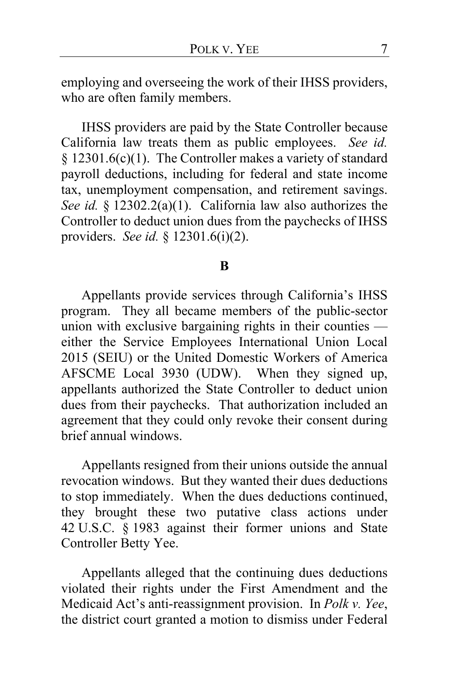employing and overseeing the work of their IHSS providers, who are often family members.

IHSS providers are paid by the State Controller because California law treats them as public employees. *See id.* § 12301.6(c)(1). The Controller makes a variety of standard payroll deductions, including for federal and state income tax, unemployment compensation, and retirement savings. *See id.* § 12302.2(a)(1). California law also authorizes the Controller to deduct union dues from the paychecks of IHSS providers. *See id.* § 12301.6(i)(2).

#### **B**

Appellants provide services through California's IHSS program. They all became members of the public-sector union with exclusive bargaining rights in their counties either the Service Employees International Union Local 2015 (SEIU) or the United Domestic Workers of America AFSCME Local 3930 (UDW). When they signed up, appellants authorized the State Controller to deduct union dues from their paychecks. That authorization included an agreement that they could only revoke their consent during brief annual windows.

Appellants resigned from their unions outside the annual revocation windows. But they wanted their dues deductions to stop immediately. When the dues deductions continued, they brought these two putative class actions under 42 U.S.C. § 1983 against their former unions and State Controller Betty Yee.

Appellants alleged that the continuing dues deductions violated their rights under the First Amendment and the Medicaid Act's anti-reassignment provision. In *Polk v. Yee*, the district court granted a motion to dismiss under Federal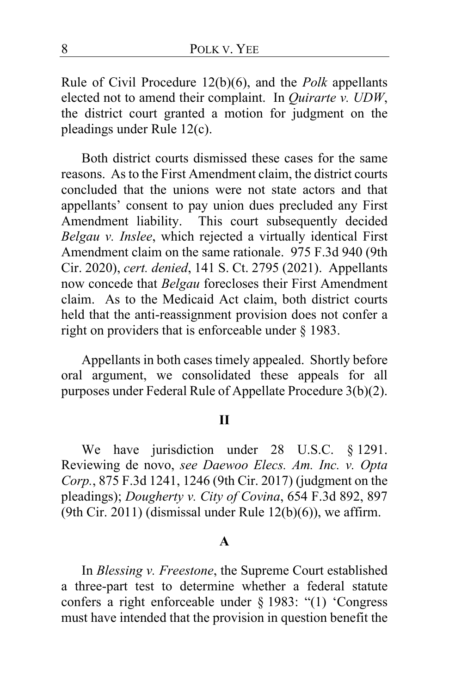Rule of Civil Procedure 12(b)(6), and the *Polk* appellants elected not to amend their complaint. In *Quirarte v. UDW*, the district court granted a motion for judgment on the pleadings under Rule 12(c).

Both district courts dismissed these cases for the same reasons. As to the First Amendment claim, the district courts concluded that the unions were not state actors and that appellants' consent to pay union dues precluded any First Amendment liability. This court subsequently decided *Belgau v. Inslee*, which rejected a virtually identical First Amendment claim on the same rationale. 975 F.3d 940 (9th Cir. 2020), *cert. denied*, 141 S. Ct. 2795 (2021). Appellants now concede that *Belgau* forecloses their First Amendment claim. As to the Medicaid Act claim, both district courts held that the anti-reassignment provision does not confer a right on providers that is enforceable under § 1983.

Appellants in both cases timely appealed. Shortly before oral argument, we consolidated these appeals for all purposes under Federal Rule of Appellate Procedure 3(b)(2).

#### **II**

We have jurisdiction under 28 U.S.C. § 1291. Reviewing de novo, *see Daewoo Elecs. Am. Inc. v. Opta Corp.*, 875 F.3d 1241, 1246 (9th Cir. 2017) (judgment on the pleadings); *Dougherty v. City of Covina*, 654 F.3d 892, 897 (9th Cir. 2011) (dismissal under Rule  $12(b)(6)$ ), we affirm.

#### **A**

In *Blessing v. Freestone*, the Supreme Court established a three-part test to determine whether a federal statute confers a right enforceable under § 1983: "(1) 'Congress must have intended that the provision in question benefit the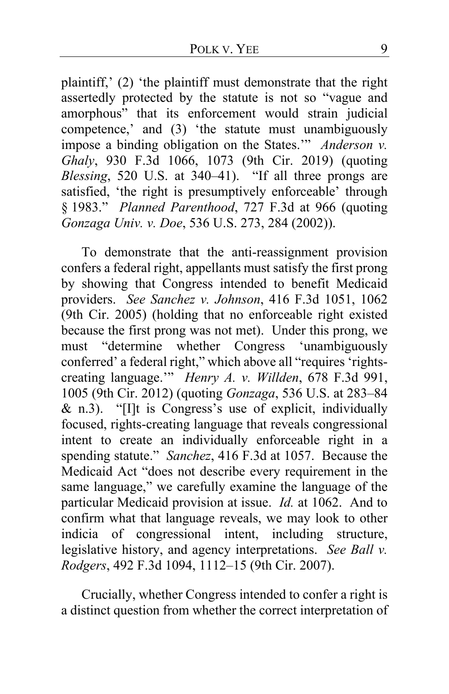plaintiff,' (2) 'the plaintiff must demonstrate that the right assertedly protected by the statute is not so "vague and amorphous" that its enforcement would strain judicial competence,' and (3) 'the statute must unambiguously impose a binding obligation on the States.'" *Anderson v. Ghaly*, 930 F.3d 1066, 1073 (9th Cir. 2019) (quoting *Blessing*, 520 U.S. at 340–41). "If all three prongs are satisfied, 'the right is presumptively enforceable' through § 1983." *Planned Parenthood*, 727 F.3d at 966 (quoting *Gonzaga Univ. v. Doe*, 536 U.S. 273, 284 (2002)).

To demonstrate that the anti-reassignment provision confers a federal right, appellants must satisfy the first prong by showing that Congress intended to benefit Medicaid providers. *See Sanchez v. Johnson*, 416 F.3d 1051, 1062 (9th Cir. 2005) (holding that no enforceable right existed because the first prong was not met). Under this prong, we must "determine whether Congress 'unambiguously must "determine whether Congress" conferred' a federal right," which above all "requires 'rightscreating language.'" *Henry A. v. Willden*, 678 F.3d 991, 1005 (9th Cir. 2012) (quoting *Gonzaga*, 536 U.S. at 283–84 & n.3). "[I]t is Congress's use of explicit, individually focused, rights-creating language that reveals congressional intent to create an individually enforceable right in a spending statute." *Sanchez*, 416 F.3d at 1057. Because the Medicaid Act "does not describe every requirement in the same language," we carefully examine the language of the particular Medicaid provision at issue. *Id.* at 1062. And to confirm what that language reveals, we may look to other indicia of congressional intent, including structure, legislative history, and agency interpretations. *See Ball v. Rodgers*, 492 F.3d 1094, 1112–15 (9th Cir. 2007).

Crucially, whether Congress intended to confer a right is a distinct question from whether the correct interpretation of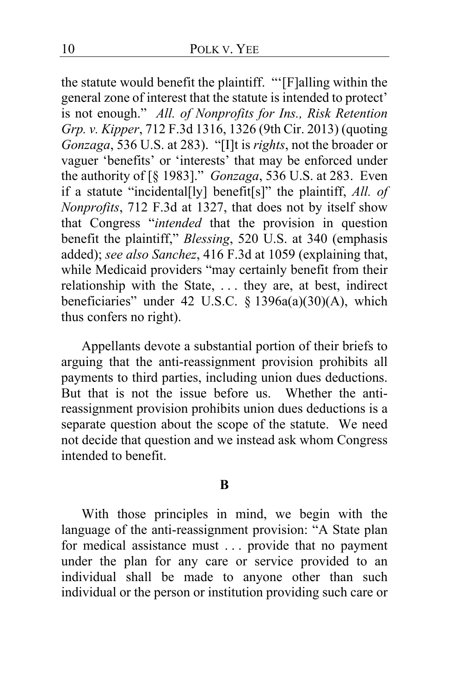the statute would benefit the plaintiff. "'[F]alling within the general zone of interest that the statute is intended to protect' is not enough." *All. of Nonprofits for Ins., Risk Retention Grp. v. Kipper*, 712 F.3d 1316, 1326 (9th Cir. 2013) (quoting *Gonzaga*, 536 U.S. at 283). "[I]t is *rights*, not the broader or vaguer 'benefits' or 'interests' that may be enforced under the authority of [§ 1983]." *Gonzaga*, 536 U.S. at 283. Even if a statute "incidental[ly] benefit[s]" the plaintiff, *All. of Nonprofits*, 712 F.3d at 1327, that does not by itself show that Congress "*intended* that the provision in question benefit the plaintiff," *Blessing*, 520 U.S. at 340 (emphasis added); *see also Sanchez*, 416 F.3d at 1059 (explaining that, while Medicaid providers "may certainly benefit from their relationship with the State, . . . they are, at best, indirect beneficiaries" under 42 U.S.C. § 1396a(a)(30)(A), which thus confers no right).

Appellants devote a substantial portion of their briefs to arguing that the anti-reassignment provision prohibits all payments to third parties, including union dues deductions. But that is not the issue before us. Whether the antireassignment provision prohibits union dues deductions is a separate question about the scope of the statute. We need not decide that question and we instead ask whom Congress intended to benefit.

#### **B**

With those principles in mind, we begin with the language of the anti-reassignment provision: "A State plan for medical assistance must . . . provide that no payment under the plan for any care or service provided to an individual shall be made to anyone other than such individual or the person or institution providing such care or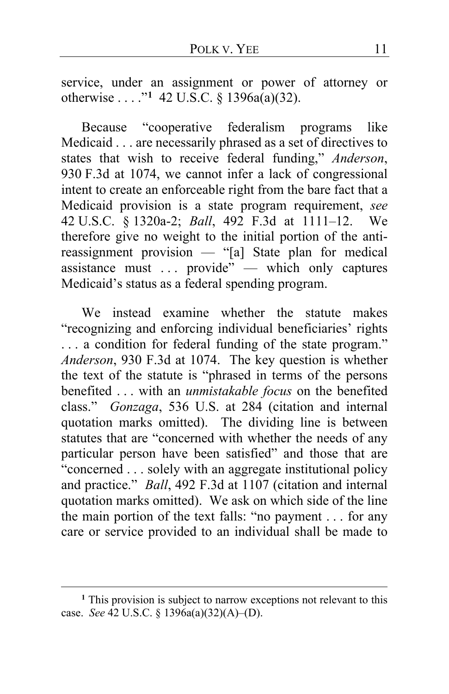service, under an assignment or power of attorney or otherwise . . . ."**[1](#page-10-0)** 42 U.S.C. § 1396a(a)(32).

Because "cooperative federalism programs like Medicaid . . . are necessarily phrased as a set of directives to states that wish to receive federal funding," *Anderson*, 930 F.3d at 1074, we cannot infer a lack of congressional intent to create an enforceable right from the bare fact that a Medicaid provision is a state program requirement, *see*  42 U.S.C. § 1320a-2; *Ball*, 492 F.3d at 1111–12. We therefore give no weight to the initial portion of the antireassignment provision — "[a] State plan for medical assistance must ... provide" — which only captures Medicaid's status as a federal spending program.

We instead examine whether the statute makes "recognizing and enforcing individual beneficiaries' rights . . . a condition for federal funding of the state program." *Anderson*, 930 F.3d at 1074. The key question is whether the text of the statute is "phrased in terms of the persons benefited . . . with an *unmistakable focus* on the benefited class." *Gonzaga*, 536 U.S. at 284 (citation and internal quotation marks omitted). The dividing line is between statutes that are "concerned with whether the needs of any particular person have been satisfied" and those that are "concerned . . . solely with an aggregate institutional policy and practice." *Ball*, 492 F.3d at 1107 (citation and internal quotation marks omitted). We ask on which side of the line the main portion of the text falls: "no payment . . . for any care or service provided to an individual shall be made to

<span id="page-10-0"></span>**<sup>1</sup>** This provision is subject to narrow exceptions not relevant to this case. *See* 42 U.S.C. § 1396a(a)(32)(A)–(D).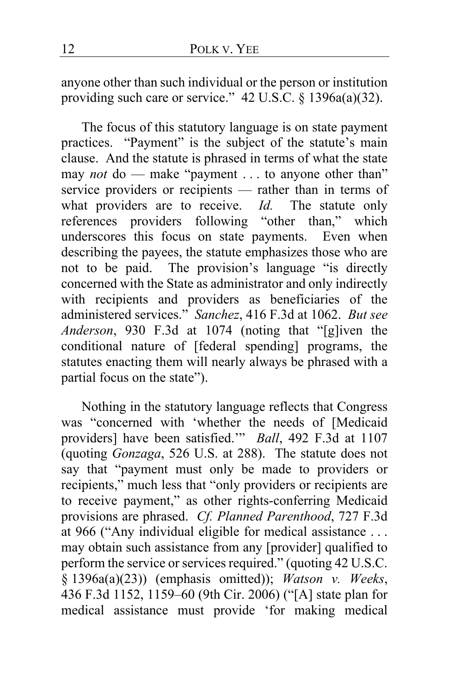anyone other than such individual or the person or institution providing such care or service." 42 U.S.C. § 1396a(a)(32).

The focus of this statutory language is on state payment practices. "Payment" is the subject of the statute's main clause. And the statute is phrased in terms of what the state may *not* do — make "payment . . . to anyone other than" service providers or recipients — rather than in terms of what providers are to receive. *Id.* The statute only references providers following "other than," which underscores this focus on state payments. Even when describing the payees, the statute emphasizes those who are not to be paid. The provision's language "is directly concerned with the State as administrator and only indirectly with recipients and providers as beneficiaries of the administered services." *Sanchez*, 416 F.3d at 1062. *But see Anderson*, 930 F.3d at 1074 (noting that "[g]iven the conditional nature of [federal spending] programs, the statutes enacting them will nearly always be phrased with a partial focus on the state").

Nothing in the statutory language reflects that Congress was "concerned with 'whether the needs of [Medicaid providers] have been satisfied.'" *Ball*, 492 F.3d at 1107 (quoting *Gonzaga*, 526 U.S. at 288). The statute does not say that "payment must only be made to providers or recipients," much less that "only providers or recipients are to receive payment," as other rights-conferring Medicaid provisions are phrased. *Cf. Planned Parenthood*, 727 F.3d at 966 ("Any individual eligible for medical assistance . . . may obtain such assistance from any [provider] qualified to perform the service or services required." (quoting 42 U.S.C. § 1396a(a)(23)) (emphasis omitted)); *Watson v. Weeks*, 436 F.3d 1152, 1159–60 (9th Cir. 2006) ("[A] state plan for medical assistance must provide 'for making medical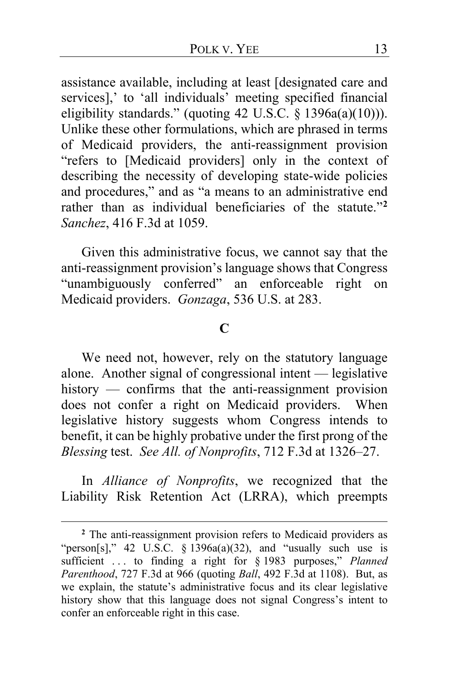assistance available, including at least [designated care and services],' to 'all individuals' meeting specified financial eligibility standards." (quoting 42 U.S.C. § 1396a(a)(10))). Unlike these other formulations, which are phrased in terms of Medicaid providers, the anti-reassignment provision "refers to [Medicaid providers] only in the context of describing the necessity of developing state-wide policies and procedures," and as "a means to an administrative end rather than as individual beneficiaries of the statute."**[2](#page-12-0)** *Sanchez*, 416 F.3d at 1059.

Given this administrative focus, we cannot say that the anti-reassignment provision's language shows that Congress "unambiguously conferred" an enforceable right on Medicaid providers. *Gonzaga*, 536 U.S. at 283.

### **C**

We need not, however, rely on the statutory language alone. Another signal of congressional intent — legislative history — confirms that the anti-reassignment provision does not confer a right on Medicaid providers. When legislative history suggests whom Congress intends to benefit, it can be highly probative under the first prong of the *Blessing* test. *See All. of Nonprofits*, 712 F.3d at 1326–27.

In *Alliance of Nonprofits*, we recognized that the Liability Risk Retention Act (LRRA), which preempts

<span id="page-12-0"></span>**<sup>2</sup>** The anti-reassignment provision refers to Medicaid providers as "person[s]," 42 U.S.C.  $\S$  1396a(a)(32), and "usually such use is sufficient . . . to finding a right for § 1983 purposes," *Planned Parenthood*, 727 F.3d at 966 (quoting *Ball*, 492 F.3d at 1108). But, as we explain, the statute's administrative focus and its clear legislative history show that this language does not signal Congress's intent to confer an enforceable right in this case.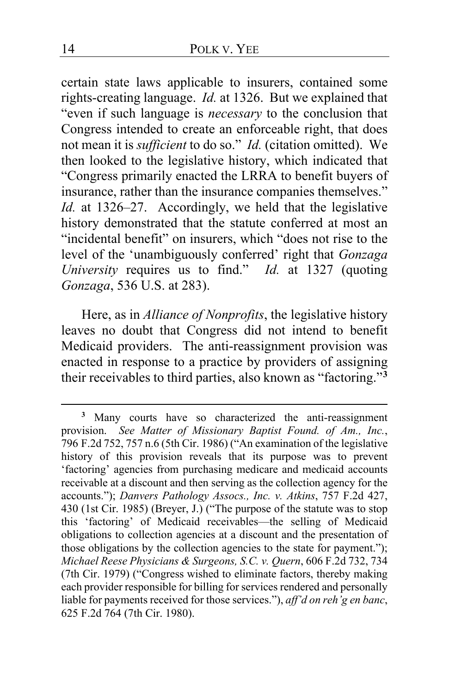certain state laws applicable to insurers, contained some rights-creating language. *Id.* at 1326. But we explained that "even if such language is *necessary* to the conclusion that Congress intended to create an enforceable right, that does not mean it is *sufficient* to do so." *Id.* (citation omitted). We then looked to the legislative history, which indicated that "Congress primarily enacted the LRRA to benefit buyers of insurance, rather than the insurance companies themselves." *Id.* at 1326–27. Accordingly, we held that the legislative history demonstrated that the statute conferred at most an "incidental benefit" on insurers, which "does not rise to the level of the 'unambiguously conferred' right that *Gonzaga University* requires us to find." *Id.* at 1327 (quoting *Gonzaga*, 536 U.S. at 283).

Here, as in *Alliance of Nonprofits*, the legislative history leaves no doubt that Congress did not intend to benefit Medicaid providers. The anti-reassignment provision was enacted in response to a practice by providers of assigning their receivables to third parties, also known as "factoring."**[3](#page-13-0)**

<span id="page-13-0"></span>**<sup>3</sup>** Many courts have so characterized the anti-reassignment provision. *See Matter of Missionary Baptist Found. of Am., Inc.*, 796 F.2d 752, 757 n.6 (5th Cir. 1986) ("An examination of the legislative history of this provision reveals that its purpose was to prevent 'factoring' agencies from purchasing medicare and medicaid accounts receivable at a discount and then serving as the collection agency for the accounts."); *Danvers Pathology Assocs., Inc. v. Atkins*, 757 F.2d 427, 430 (1st Cir. 1985) (Breyer, J.) ("The purpose of the statute was to stop this 'factoring' of Medicaid receivables—the selling of Medicaid obligations to collection agencies at a discount and the presentation of those obligations by the collection agencies to the state for payment."); *Michael Reese Physicians & Surgeons, S.C. v. Quern*, 606 F.2d 732, 734 (7th Cir. 1979) ("Congress wished to eliminate factors, thereby making each provider responsible for billing for services rendered and personally liable for payments received for those services."), *aff'd on reh'g en banc*, 625 F.2d 764 (7th Cir. 1980).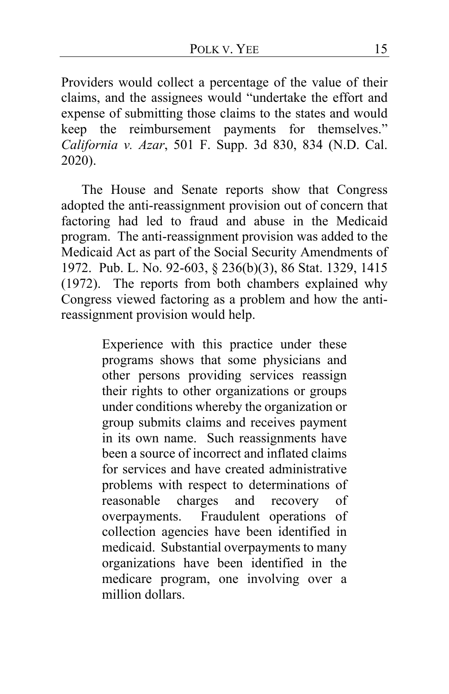Providers would collect a percentage of the value of their claims, and the assignees would "undertake the effort and expense of submitting those claims to the states and would keep the reimbursement payments for themselves." *California v. Azar*, 501 F. Supp. 3d 830, 834 (N.D. Cal. 2020).

The House and Senate reports show that Congress adopted the anti-reassignment provision out of concern that factoring had led to fraud and abuse in the Medicaid program. The anti-reassignment provision was added to the Medicaid Act as part of the Social Security Amendments of 1972. Pub. L. No. 92-603, § 236(b)(3), 86 Stat. 1329, 1415 (1972). The reports from both chambers explained why Congress viewed factoring as a problem and how the antireassignment provision would help.

> Experience with this practice under these programs shows that some physicians and other persons providing services reassign their rights to other organizations or groups under conditions whereby the organization or group submits claims and receives payment in its own name. Such reassignments have been a source of incorrect and inflated claims for services and have created administrative problems with respect to determinations of reasonable charges and recovery of overpayments. Fraudulent operations of collection agencies have been identified in medicaid. Substantial overpayments to many organizations have been identified in the medicare program, one involving over a million dollars.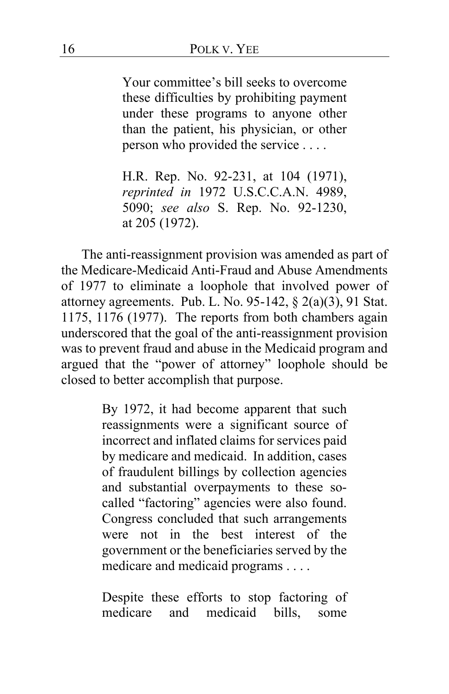Your committee's bill seeks to overcome these difficulties by prohibiting payment under these programs to anyone other than the patient, his physician, or other person who provided the service . . . .

H.R. Rep. No. 92-231, at 104 (1971), *reprinted in* 1972 U.S.C.C.A.N. 4989, 5090; *see also* S. Rep. No. 92-1230, at 205 (1972).

The anti-reassignment provision was amended as part of the Medicare-Medicaid Anti-Fraud and Abuse Amendments of 1977 to eliminate a loophole that involved power of attorney agreements. Pub. L. No. 95-142, § 2(a)(3), 91 Stat. 1175, 1176 (1977). The reports from both chambers again underscored that the goal of the anti-reassignment provision was to prevent fraud and abuse in the Medicaid program and argued that the "power of attorney" loophole should be closed to better accomplish that purpose.

> By 1972, it had become apparent that such reassignments were a significant source of incorrect and inflated claims for services paid by medicare and medicaid. In addition, cases of fraudulent billings by collection agencies and substantial overpayments to these socalled "factoring" agencies were also found. Congress concluded that such arrangements were not in the best interest of the government or the beneficiaries served by the medicare and medicaid programs . . . .

> Despite these efforts to stop factoring of medicare and medicaid bills, some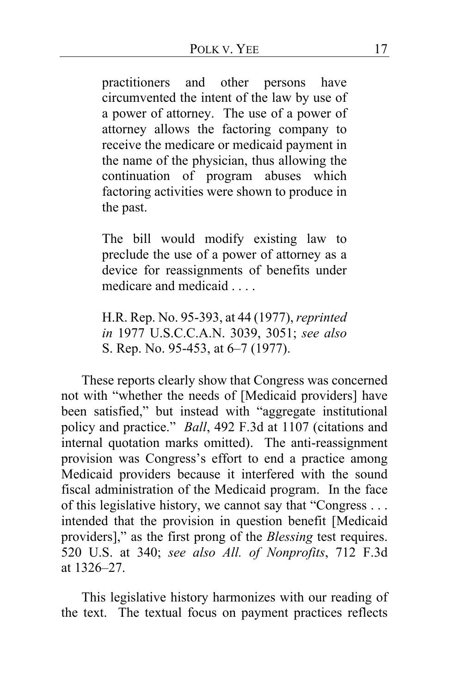practitioners and other persons have circumvented the intent of the law by use of a power of attorney. The use of a power of attorney allows the factoring company to receive the medicare or medicaid payment in the name of the physician, thus allowing the continuation of program abuses which factoring activities were shown to produce in the past.

The bill would modify existing law to preclude the use of a power of attorney as a device for reassignments of benefits under medicare and medicaid . . . .

H.R. Rep. No. 95-393, at 44 (1977), *reprinted in* 1977 U.S.C.C.A.N. 3039, 3051; *see also*  S. Rep. No. 95-453, at 6–7 (1977).

These reports clearly show that Congress was concerned not with "whether the needs of [Medicaid providers] have been satisfied," but instead with "aggregate institutional policy and practice." *Ball*, 492 F.3d at 1107 (citations and internal quotation marks omitted). The anti-reassignment provision was Congress's effort to end a practice among Medicaid providers because it interfered with the sound fiscal administration of the Medicaid program. In the face of this legislative history, we cannot say that "Congress . . . intended that the provision in question benefit [Medicaid providers]," as the first prong of the *Blessing* test requires. 520 U.S. at 340; *see also All. of Nonprofits*, 712 F.3d at 1326–27.

This legislative history harmonizes with our reading of the text. The textual focus on payment practices reflects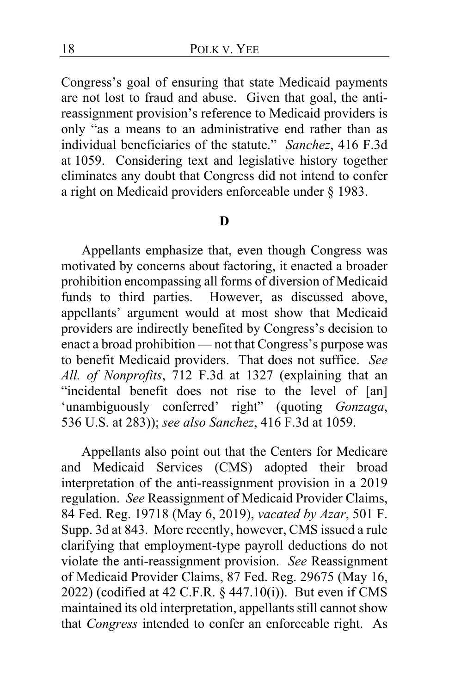Congress's goal of ensuring that state Medicaid payments are not lost to fraud and abuse. Given that goal, the antireassignment provision's reference to Medicaid providers is only "as a means to an administrative end rather than as individual beneficiaries of the statute." *Sanchez*, 416 F.3d at 1059. Considering text and legislative history together eliminates any doubt that Congress did not intend to confer a right on Medicaid providers enforceable under § 1983.

### **D**

Appellants emphasize that, even though Congress was motivated by concerns about factoring, it enacted a broader prohibition encompassing all forms of diversion of Medicaid funds to third parties. However, as discussed above, appellants' argument would at most show that Medicaid providers are indirectly benefited by Congress's decision to enact a broad prohibition — not that Congress's purpose was to benefit Medicaid providers. That does not suffice. *See All. of Nonprofits*, 712 F.3d at 1327 (explaining that an "incidental benefit does not rise to the level of [an] 'unambiguously conferred' right" (quoting *Gonzaga*, 536 U.S. at 283)); *see also Sanchez*, 416 F.3d at 1059.

Appellants also point out that the Centers for Medicare and Medicaid Services (CMS) adopted their broad interpretation of the anti-reassignment provision in a 2019 regulation. *See* Reassignment of Medicaid Provider Claims, 84 Fed. Reg. 19718 (May 6, 2019), *vacated by Azar*, 501 F. Supp. 3d at 843. More recently, however, CMS issued a rule clarifying that employment-type payroll deductions do not violate the anti-reassignment provision. *See* Reassignment of Medicaid Provider Claims, 87 Fed. Reg. 29675 (May 16, 2022) (codified at 42 C.F.R. § 447.10(i)). But even if CMS maintained its old interpretation, appellants still cannot show that *Congress* intended to confer an enforceable right. As